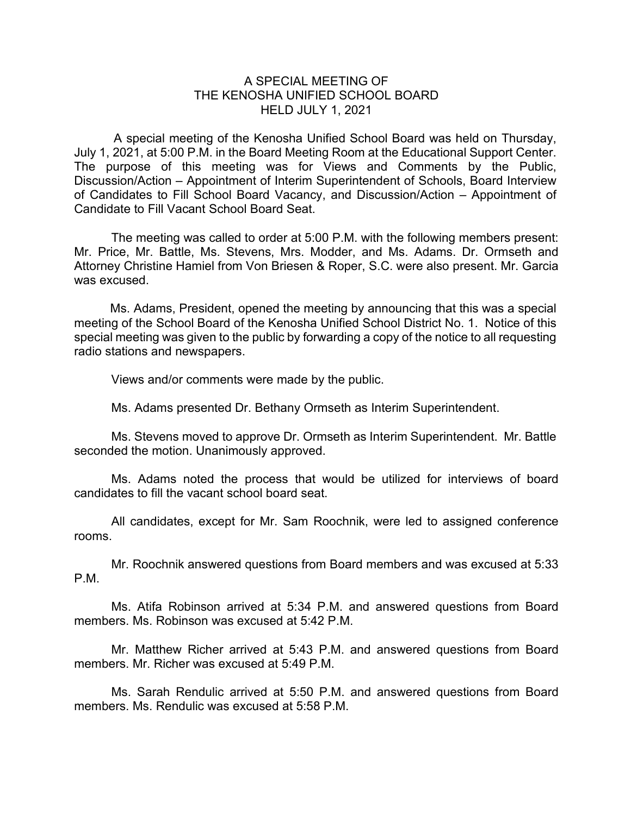## A SPECIAL MEETING OF THE KENOSHA UNIFIED SCHOOL BOARD HELD JULY 1, 2021

A special meeting of the Kenosha Unified School Board was held on Thursday, July 1, 2021, at 5:00 P.M. in the Board Meeting Room at the Educational Support Center. The purpose of this meeting was for Views and Comments by the Public, Discussion/Action – Appointment of Interim Superintendent of Schools, Board Interview of Candidates to Fill School Board Vacancy, and Discussion/Action – Appointment of Candidate to Fill Vacant School Board Seat.

The meeting was called to order at 5:00 P.M. with the following members present: Mr. Price, Mr. Battle, Ms. Stevens, Mrs. Modder, and Ms. Adams. Dr. Ormseth and Attorney Christine Hamiel from Von Briesen & Roper, S.C. were also present. Mr. Garcia was excused.

Ms. Adams, President, opened the meeting by announcing that this was a special meeting of the School Board of the Kenosha Unified School District No. 1. Notice of this special meeting was given to the public by forwarding a copy of the notice to all requesting radio stations and newspapers.

Views and/or comments were made by the public.

Ms. Adams presented Dr. Bethany Ormseth as Interim Superintendent.

Ms. Stevens moved to approve Dr. Ormseth as Interim Superintendent. Mr. Battle seconded the motion. Unanimously approved.

Ms. Adams noted the process that would be utilized for interviews of board candidates to fill the vacant school board seat.

All candidates, except for Mr. Sam Roochnik, were led to assigned conference rooms.

Mr. Roochnik answered questions from Board members and was excused at 5:33 P.M.

Ms. Atifa Robinson arrived at 5:34 P.M. and answered questions from Board members. Ms. Robinson was excused at 5:42 P.M.

Mr. Matthew Richer arrived at 5:43 P.M. and answered questions from Board members. Mr. Richer was excused at 5:49 P.M.

Ms. Sarah Rendulic arrived at 5:50 P.M. and answered questions from Board members. Ms. Rendulic was excused at 5:58 P.M.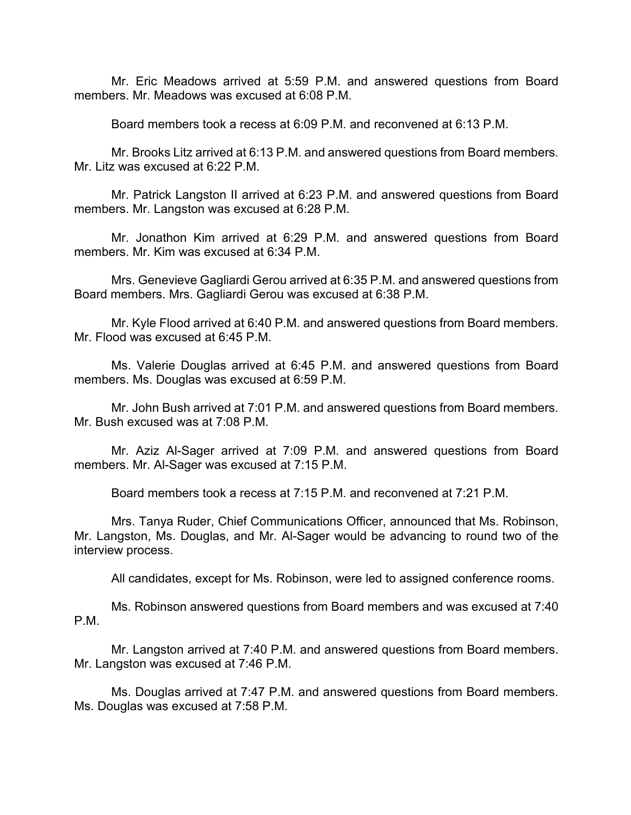Mr. Eric Meadows arrived at 5:59 P.M. and answered questions from Board members. Mr. Meadows was excused at 6:08 P.M.

Board members took a recess at 6:09 P.M. and reconvened at 6:13 P.M.

Mr. Brooks Litz arrived at 6:13 P.M. and answered questions from Board members. Mr. Litz was excused at 6:22 P.M.

Mr. Patrick Langston II arrived at 6:23 P.M. and answered questions from Board members. Mr. Langston was excused at 6:28 P.M.

Mr. Jonathon Kim arrived at 6:29 P.M. and answered questions from Board members. Mr. Kim was excused at 6:34 P.M.

Mrs. Genevieve Gagliardi Gerou arrived at 6:35 P.M. and answered questions from Board members. Mrs. Gagliardi Gerou was excused at 6:38 P.M.

Mr. Kyle Flood arrived at 6:40 P.M. and answered questions from Board members. Mr. Flood was excused at 6:45 P.M.

Ms. Valerie Douglas arrived at 6:45 P.M. and answered questions from Board members. Ms. Douglas was excused at 6:59 P.M.

Mr. John Bush arrived at 7:01 P.M. and answered questions from Board members. Mr. Bush excused was at 7:08 P.M.

Mr. Aziz Al-Sager arrived at 7:09 P.M. and answered questions from Board members. Mr. Al-Sager was excused at 7:15 P.M.

Board members took a recess at 7:15 P.M. and reconvened at 7:21 P.M.

Mrs. Tanya Ruder, Chief Communications Officer, announced that Ms. Robinson, Mr. Langston, Ms. Douglas, and Mr. Al-Sager would be advancing to round two of the interview process.

All candidates, except for Ms. Robinson, were led to assigned conference rooms.

Ms. Robinson answered questions from Board members and was excused at 7:40 P.M.

Mr. Langston arrived at 7:40 P.M. and answered questions from Board members. Mr. Langston was excused at 7:46 P.M.

Ms. Douglas arrived at 7:47 P.M. and answered questions from Board members. Ms. Douglas was excused at 7:58 P.M.